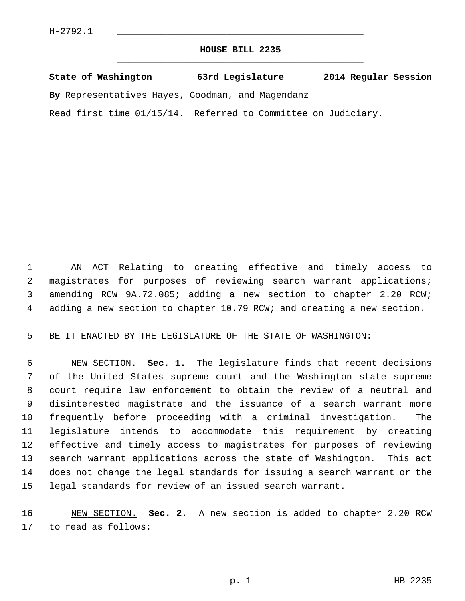## **HOUSE BILL 2235** \_\_\_\_\_\_\_\_\_\_\_\_\_\_\_\_\_\_\_\_\_\_\_\_\_\_\_\_\_\_\_\_\_\_\_\_\_\_\_\_\_\_\_\_\_

|  | State of Washington | 63rd Legislature | 2014 Regular Session |  |
|--|---------------------|------------------|----------------------|--|
|  |                     |                  |                      |  |

**By** Representatives Hayes, Goodman, and Magendanz

Read first time 01/15/14. Referred to Committee on Judiciary.

 1 AN ACT Relating to creating effective and timely access to 2 magistrates for purposes of reviewing search warrant applications; 3 amending RCW 9A.72.085; adding a new section to chapter 2.20 RCW; 4 adding a new section to chapter 10.79 RCW; and creating a new section.

5 BE IT ENACTED BY THE LEGISLATURE OF THE STATE OF WASHINGTON:

 6 NEW SECTION. **Sec. 1.** The legislature finds that recent decisions 7 of the United States supreme court and the Washington state supreme 8 court require law enforcement to obtain the review of a neutral and 9 disinterested magistrate and the issuance of a search warrant more 10 frequently before proceeding with a criminal investigation. The 11 legislature intends to accommodate this requirement by creating 12 effective and timely access to magistrates for purposes of reviewing 13 search warrant applications across the state of Washington. This act 14 does not change the legal standards for issuing a search warrant or the 15 legal standards for review of an issued search warrant.

16 NEW SECTION. **Sec. 2.** A new section is added to chapter 2.20 RCW 17 to read as follows: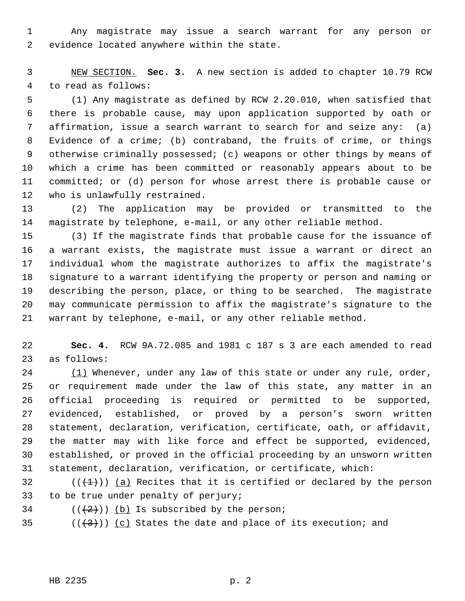1 Any magistrate may issue a search warrant for any person or 2 evidence located anywhere within the state.

 3 NEW SECTION. **Sec. 3.** A new section is added to chapter 10.79 RCW 4 to read as follows:

 5 (1) Any magistrate as defined by RCW 2.20.010, when satisfied that 6 there is probable cause, may upon application supported by oath or 7 affirmation, issue a search warrant to search for and seize any: (a) 8 Evidence of a crime; (b) contraband, the fruits of crime, or things 9 otherwise criminally possessed; (c) weapons or other things by means of 10 which a crime has been committed or reasonably appears about to be 11 committed; or (d) person for whose arrest there is probable cause or 12 who is unlawfully restrained.

13 (2) The application may be provided or transmitted to the 14 magistrate by telephone, e-mail, or any other reliable method.

15 (3) If the magistrate finds that probable cause for the issuance of 16 a warrant exists, the magistrate must issue a warrant or direct an 17 individual whom the magistrate authorizes to affix the magistrate's 18 signature to a warrant identifying the property or person and naming or 19 describing the person, place, or thing to be searched. The magistrate 20 may communicate permission to affix the magistrate's signature to the 21 warrant by telephone, e-mail, or any other reliable method.

22 **Sec. 4.** RCW 9A.72.085 and 1981 c 187 s 3 are each amended to read 23 as follows:

24 (1) Whenever, under any law of this state or under any rule, order, 25 or requirement made under the law of this state, any matter in an 26 official proceeding is required or permitted to be supported, 27 evidenced, established, or proved by a person's sworn written 28 statement, declaration, verification, certificate, oath, or affidavit, 29 the matter may with like force and effect be supported, evidenced, 30 established, or proved in the official proceeding by an unsworn written 31 statement, declaration, verification, or certificate, which:

32  $((\langle 1 \rangle)^2)$  (a) Recites that it is certified or declared by the person 33 to be true under penalty of perjury;

 $34$  ( $(\frac{2}{2})$ ) (b) Is subscribed by the person;

35 ( $(\frac{3}{3})$ ) (c) States the date and place of its execution; and